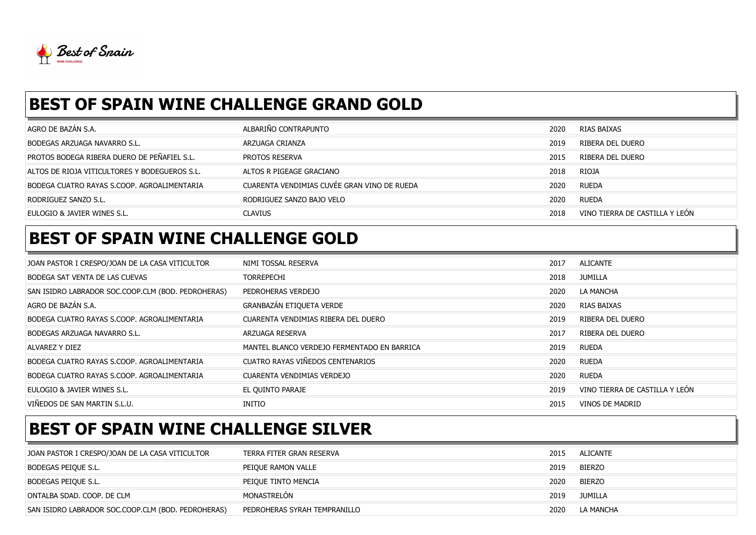

## BEST OF SPAIN WINE CHALLENGE GRAND GOLD

| AGRO DE BAZÁN S.A.                            | ALBARIÑO CONTRAPUNTO                        | 2020 | RIAS BAIXAS                    |
|-----------------------------------------------|---------------------------------------------|------|--------------------------------|
| BODEGAS ARZUAGA NAVARRO S.L.                  | ARZUAGA CRIANZA                             | 2019 | RIBERA DEL DUERO               |
| PROTOS BODEGA RIBERA DUERO DE PEÑAFIEL S.L.   | PROTOS RESERVA                              | 2015 | RIBERA DEL DUERO               |
| ALTOS DE RIOJA VITICULTORES Y BODEGUEROS S.L. | ALTOS R PIGEAGE GRACIANO                    | 2018 | RIOJA                          |
| BODEGA CUATRO RAYAS S.COOP. AGROALIMENTARIA   | CUARENTA VENDIMIAS CUVÉE GRAN VINO DE RUEDA | 2020 | <b>RUEDA</b>                   |
| RODRIGUEZ SANZO S.L.                          | RODRIGUEZ SANZO BAJO VELO                   | 2020 | RUEDA                          |
| EULOGIO & JAVIER WINES S.L.                   | <b>CLAVIUS</b>                              | 2018 | VINO TIERRA DE CASTILLA Y LEÓN |

## BEST OF SPAIN WINE CHALLENGE GOLD

| JOAN PASTOR I CRESPO/JOAN DE LA CASA VITICULTOR    | NIMI TOSSAL RESERVA                         | 2017 | ALICANTE                       |
|----------------------------------------------------|---------------------------------------------|------|--------------------------------|
| BODEGA SAT VENTA DE LAS CUEVAS                     | <b>TORREPECHI</b>                           | 2018 | JUMILLA                        |
| SAN ISIDRO LABRADOR SOC.COOP.CLM (BOD. PEDROHERAS) | PEDROHERAS VERDEJO                          | 2020 | LA MANCHA                      |
| AGRO DE BAZÁN S.A.                                 | GRANBAZÁN ETIQUETA VERDE                    | 2020 | RIAS BAIXAS                    |
| BODEGA CUATRO RAYAS S.COOP. AGROALIMENTARIA        | CUARENTA VENDIMIAS RIBERA DEL DUERO         | 2019 | RIBERA DEL DUERO               |
| <b>BODEGAS ARZUAGA NAVARRO S.L.</b>                | ARZUAGA RESERVA                             | 2017 | RIBERA DEL DUERO               |
| ALVAREZ Y DIEZ                                     | MANTEL BLANCO VERDEJO FERMENTADO EN BARRICA | 2019 | RUEDA                          |
| BODEGA CUATRO RAYAS S.COOP. AGROALIMENTARIA        | CUATRO RAYAS VIÑEDOS CENTENARIOS            | 2020 | RUEDA                          |
| BODEGA CUATRO RAYAS S.COOP. AGROALIMENTARIA        | CUARENTA VENDIMIAS VERDEJO                  | 2020 | RUEDA                          |
| EULOGIO & JAVIER WINES S.L.                        | EL QUINTO PARAJE                            | 2019 | VINO TIERRA DE CASTILLA Y LEÓN |
| VIÑEDOS DE SAN MARTIN S.L.U.                       | INITIO                                      | 2015 | VINOS DE MADRID                |

## BEST OF SPAIN WINE CHALLENGE SILVER

| JOAN PASTOR I CRESPO/JOAN DE LA CASA VITICULTOR    | TERRA FITER GRAN RESERVA     | 2015 | ALICANTE  |
|----------------------------------------------------|------------------------------|------|-----------|
| BODEGAS PEIQUE S.L.                                | PEIQUE RAMON VALLE           | 2019 | BIERZO    |
| Bodegas peique s.l.                                | PEIQUE TINTO MENCIA          | 2020 | BIERZO    |
| ONTALBA SDAD. COOP. DE CLM                         | MONASTRELÓN                  | 2019 | JUMILLA   |
| SAN ISIDRO LABRADOR SOC.COOP.CLM (BOD. PEDROHERAS) | PEDROHERAS SYRAH TEMPRANILLO | 2020 | LA MANCHA |